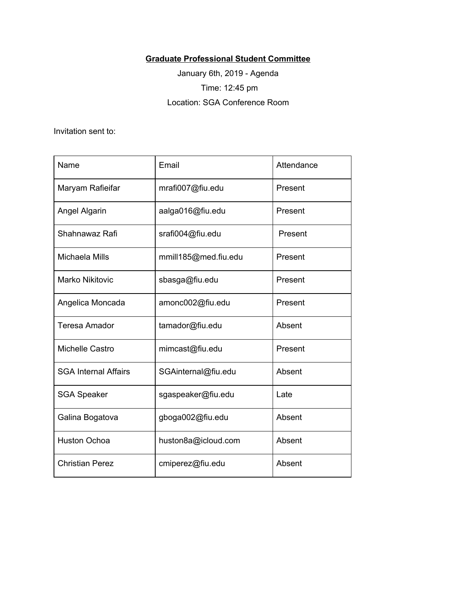## **Graduate Professional Student Committee**

January 6th, 2019 - Agenda Time: 12:45 pm Location: SGA Conference Room

Invitation sent to:

| Name                        | Email                | Attendance |
|-----------------------------|----------------------|------------|
| Maryam Rafieifar            | mrafi007@fiu.edu     | Present    |
| Angel Algarin               | aalga016@fiu.edu     | Present    |
| Shahnawaz Rafi              | srafi004@fiu.edu     | Present    |
| Michaela Mills              | mmill185@med.fiu.edu | Present    |
| <b>Marko Nikitovic</b>      | sbasga@fiu.edu       | Present    |
| Angelica Moncada            | amonc002@fiu.edu     | Present    |
| <b>Teresa Amador</b>        | tamador@fiu.edu      | Absent     |
| Michelle Castro             | mimcast@fiu.edu      | Present    |
| <b>SGA Internal Affairs</b> | SGAinternal@fiu.edu  | Absent     |
| <b>SGA Speaker</b>          | sgaspeaker@fiu.edu   | Late       |
| Galina Bogatova             | gboga002@fiu.edu     | Absent     |
| <b>Huston Ochoa</b>         | huston8a@icloud.com  | Absent     |
| <b>Christian Perez</b>      | cmiperez@fiu.edu     | Absent     |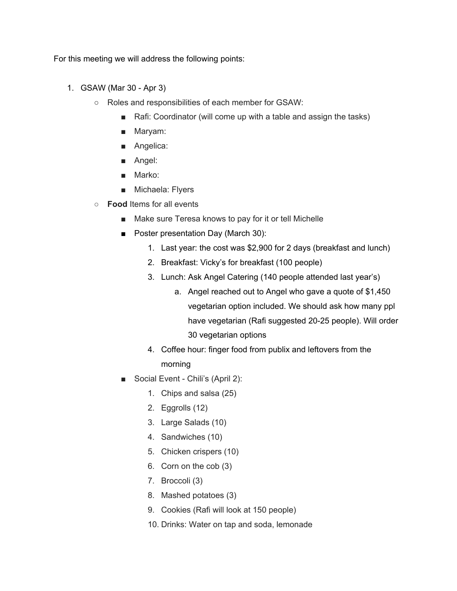For this meeting we will address the following points:

- 1. GSAW (Mar 30 Apr 3)
	- Roles and responsibilities of each member for GSAW:
		- Rafi: Coordinator (will come up with a table and assign the tasks)
		- Maryam:
		- Angelica:
		- Angel:
		- Marko:
		- Michaela: Flyers
	- **Food** Items for all events
		- Make sure Teresa knows to pay for it or tell Michelle
		- Poster presentation Day (March 30):
			- 1. Last year: the cost was \$2,900 for 2 days (breakfast and lunch)
			- 2. Breakfast: Vicky's for breakfast (100 people)
			- 3. Lunch: Ask Angel Catering (140 people attended last year's)
				- a. Angel reached out to Angel who gave a quote of \$1,450 vegetarian option included. We should ask how many ppl have vegetarian (Rafi suggested 20-25 people). Will order 30 vegetarian options
			- 4. Coffee hour: finger food from publix and leftovers from the morning
		- Social Event Chili's (April 2):
			- 1. Chips and salsa (25)
			- 2. Eggrolls (12)
			- 3. Large Salads (10)
			- 4. Sandwiches (10)
			- 5. Chicken crispers (10)
			- 6. Corn on the cob (3)
			- 7. Broccoli (3)
			- 8. Mashed potatoes (3)
			- 9. Cookies (Rafi will look at 150 people)
			- 10. Drinks: Water on tap and soda, lemonade